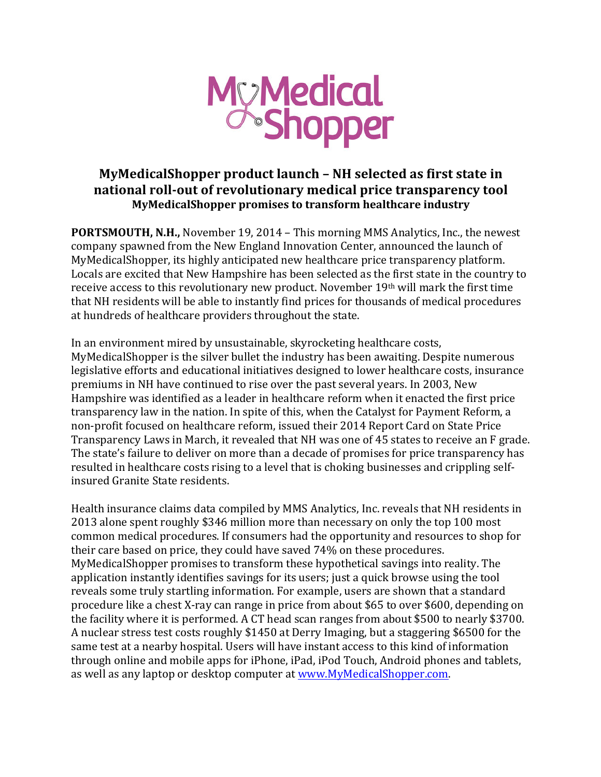

## **MyMedicalShopper product launch - NH selected as first state in national roll-out of revolutionary medical price transparency tool MyMedicalShopper promises to transform healthcare industry**

**PORTSMOUTH, N.H.,** November 19, 2014 – This morning MMS Analytics, Inc., the newest company spawned from the New England Innovation Center, announced the launch of MyMedicalShopper, its highly anticipated new healthcare price transparency platform. Locals are excited that New Hampshire has been selected as the first state in the country to receive access to this revolutionary new product. November 19<sup>th</sup> will mark the first time that NH residents will be able to instantly find prices for thousands of medical procedures at hundreds of healthcare providers throughout the state.

In an environment mired by unsustainable, skyrocketing healthcare costs, MyMedicalShopper is the silver bullet the industry has been awaiting. Despite numerous legislative efforts and educational initiatives designed to lower healthcare costs, insurance premiums in NH have continued to rise over the past several years. In 2003, New Hampshire was identified as a leader in healthcare reform when it enacted the first price transparency law in the nation. In spite of this, when the Catalyst for Payment Reform, a non-profit focused on healthcare reform, issued their 2014 Report Card on State Price Transparency Laws in March, it revealed that NH was one of 45 states to receive an F grade. The state's failure to deliver on more than a decade of promises for price transparency has resulted in healthcare costs rising to a level that is choking businesses and crippling selfinsured Granite State residents.

Health insurance claims data compiled by MMS Analytics, Inc. reveals that NH residents in 2013 alone spent roughly \$346 million more than necessary on only the top 100 most common medical procedures. If consumers had the opportunity and resources to shop for their care based on price, they could have saved 74% on these procedures. MyMedicalShopper promises to transform these hypothetical savings into reality. The application instantly identifies savings for its users; just a quick browse using the tool reveals some truly startling information. For example, users are shown that a standard procedure like a chest X-ray can range in price from about \$65 to over \$600, depending on the facility where it is performed. A CT head scan ranges from about \$500 to nearly \$3700. A nuclear stress test costs roughly \$1450 at Derry Imaging, but a staggering \$6500 for the same test at a nearby hospital. Users will have instant access to this kind of information through online and mobile apps for iPhone, iPad, iPod Touch, Android phones and tablets, as well as any laptop or desktop computer at www.MyMedicalShopper.com.